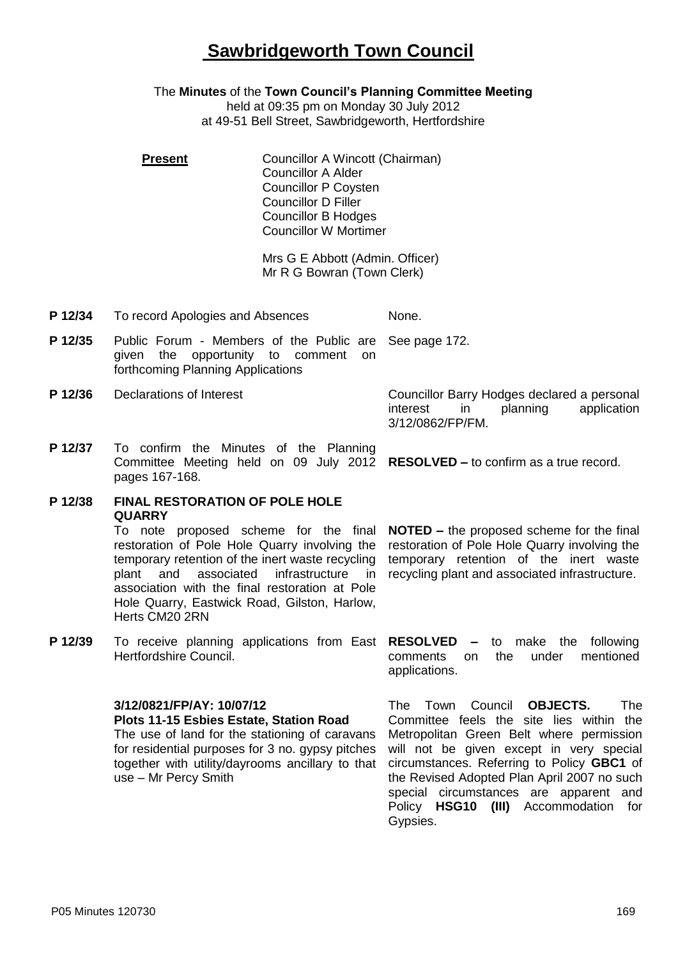# **Sawbridgeworth Town Council**

The **Minutes** of the **Town Council's Planning Committee Meeting**

held at 09:35 pm on Monday 30 July 2012 at 49-51 Bell Street, Sawbridgeworth, Hertfordshire

**Present Councillor A Wincott (Chairman)** Councillor A Alder Councillor P Coysten Councillor D Filler Councillor B Hodges Councillor W Mortimer

> Mrs G E Abbott (Admin. Officer) Mr R G Bowran (Town Clerk)

- **P 12/34** To record Apologies and Absences None.
- **P 12/35** Public Forum Members of the Public are given the opportunity to comment on forthcoming Planning Applications See page 172.
- 

**P 12/36** Declarations of Interest Councillor Barry Hodges declared a personal interest in planning application 3/12/0862/FP/FM.

**P 12/37** To confirm the Minutes of the Planning Committee Meeting held on 09 July 2012 **RESOLVED –** to confirm as a true record. pages 167-168.

### **P 12/38 FINAL RESTORATION OF POLE HOLE QUARRY**

To note proposed scheme for the final restoration of Pole Hole Quarry involving the temporary retention of the inert waste recycling plant and associated infrastructure in association with the final restoration at Pole Hole Quarry, Eastwick Road, Gilston, Harlow, Herts CM20 2RN

**P 12/39** To receive planning applications from East **RESOLVED –** to make the following Hertfordshire Council.

### **3/12/0821/FP/AY: 10/07/12**

**Plots 11-15 Esbies Estate, Station Road** The use of land for the stationing of caravans for residential purposes for 3 no. gypsy pitches together with utility/dayrooms ancillary to that use – Mr Percy Smith

**NOTED –** the proposed scheme for the final restoration of Pole Hole Quarry involving the temporary retention of the inert waste recycling plant and associated infrastructure.

comments on the under mentioned applications.

The Town Council **OBJECTS.** The Committee feels the site lies within the Metropolitan Green Belt where permission will not be given except in very special circumstances. Referring to Policy **GBC1** of the Revised Adopted Plan April 2007 no such special circumstances are apparent and Policy **HSG10 (III)** Accommodation for Gypsies.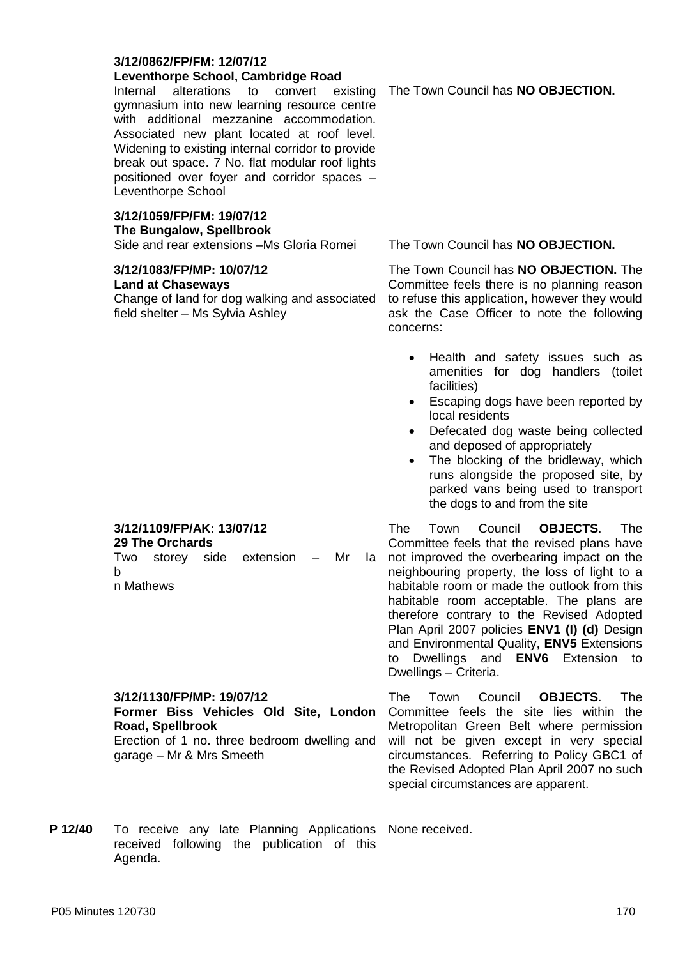#### **3/12/0862/FP/FM: 12/07/12 Leventhorpe School, Cambridge Road**

Internal alterations to convert existing gymnasium into new learning resource centre with additional mezzanine accommodation. Associated new plant located at roof level. Widening to existing internal corridor to provide break out space. 7 No. flat modular roof lights positioned over foyer and corridor spaces – Leventhorpe School

#### **3/12/1059/FP/FM: 19/07/12 The Bungalow, Spellbrook**

Side and rear extensions –Ms Gloria Romei The Town Council has **NO OBJECTION.**

## **3/12/1083/FP/MP: 10/07/12**

**3/12/1109/FP/AK: 13/07/12**

**3/12/1130/FP/MP: 19/07/12**

garage – Mr & Mrs Smeeth

**Road, Spellbrook**

**29 The Orchards**

n Mathews

b

#### **Land at Chaseways**

Change of land for dog walking and associated field shelter – Ms Sylvia Ashley

The Town Council has **NO OBJECTION.**

The Town Council has **NO OBJECTION.** The Committee feels there is no planning reason to refuse this application, however they would ask the Case Officer to note the following concerns:

- Health and safety issues such as amenities for dog handlers (toilet facilities)
- Escaping dogs have been reported by local residents
- Defecated dog waste being collected and deposed of appropriately
- The blocking of the bridleway, which runs alongside the proposed site, by parked vans being used to transport the dogs to and from the site

Two storey side extension – Mr Ia The Town Council **OBJECTS**. The Committee feels that the revised plans have not improved the overbearing impact on the neighbouring property, the loss of light to a habitable room or made the outlook from this habitable room acceptable. The plans are therefore contrary to the Revised Adopted Plan April 2007 policies **ENV1 (I) (d)** Design and Environmental Quality, **ENV5** Extensions to Dwellings and **ENV6** Extension to Dwellings – Criteria.

> The Town Council **OBJECTS**. The Committee feels the site lies within the Metropolitan Green Belt where permission will not be given except in very special circumstances. Referring to Policy GBC1 of the Revised Adopted Plan April 2007 no such special circumstances are apparent.

**P 12/40** To receive any late Planning Applications None received. received following the publication of this Agenda.

**Former Biss Vehicles Old Site, London** 

Erection of 1 no. three bedroom dwelling and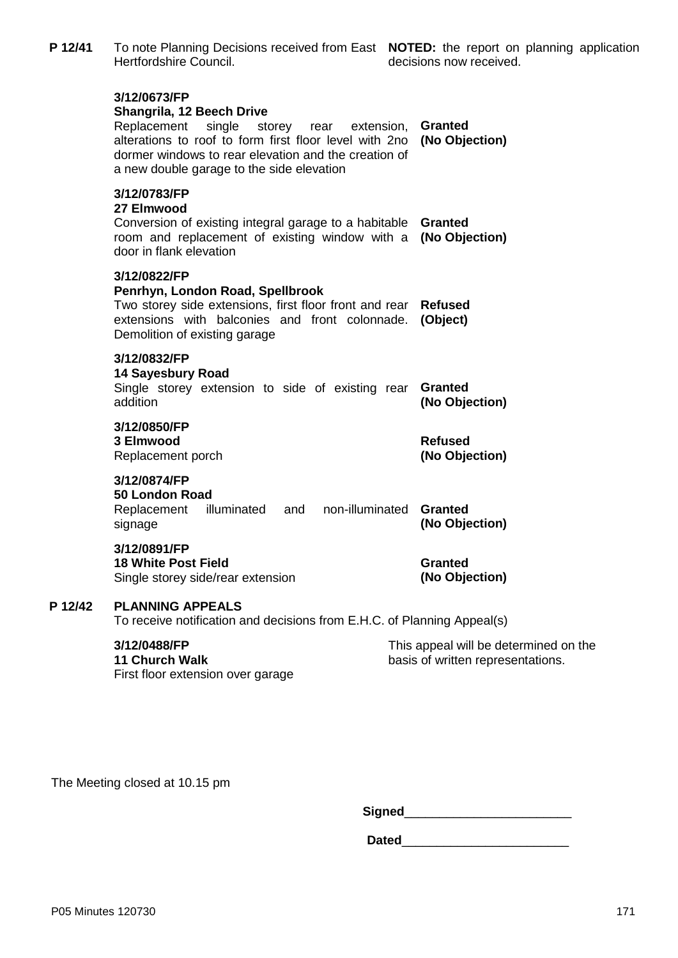| P 12/41 | To note Planning Decisions received from East NOTED: the report on planning application<br>Hertfordshire Council.                                                                                                                                                 | decisions now received.                                                    |
|---------|-------------------------------------------------------------------------------------------------------------------------------------------------------------------------------------------------------------------------------------------------------------------|----------------------------------------------------------------------------|
|         | 3/12/0673/FP<br>Shangrila, 12 Beech Drive<br>Replacement<br>single<br>storey<br>extension,<br>rear<br>alterations to roof to form first floor level with 2no<br>dormer windows to rear elevation and the creation of<br>a new double garage to the side elevation | <b>Granted</b><br>(No Objection)                                           |
|         | 3/12/0783/FP<br>27 Elmwood<br>Conversion of existing integral garage to a habitable<br>room and replacement of existing window with a<br>door in flank elevation                                                                                                  | <b>Granted</b><br>(No Objection)                                           |
|         | 3/12/0822/FP<br>Penrhyn, London Road, Spellbrook<br>Two storey side extensions, first floor front and rear Refused<br>extensions with balconies and front colonnade.<br>Demolition of existing garage                                                             | (Object)                                                                   |
|         | 3/12/0832/FP<br><b>14 Sayesbury Road</b><br>Single storey extension to side of existing rear<br>addition                                                                                                                                                          | <b>Granted</b><br>(No Objection)                                           |
|         | 3/12/0850/FP<br>3 Elmwood<br>Replacement porch                                                                                                                                                                                                                    | <b>Refused</b><br>(No Objection)                                           |
|         | 3/12/0874/FP<br>50 London Road<br>non-illuminated<br>Replacement<br>illuminated<br>and<br>signage                                                                                                                                                                 | <b>Granted</b><br>(No Objection)                                           |
|         | 3/12/0891/FP<br><b>18 White Post Field</b><br>Single storey side/rear extension                                                                                                                                                                                   | <b>Granted</b><br>(No Objection)                                           |
| P 12/42 | <b>PLANNING APPEALS</b><br>To receive notification and decisions from E.H.C. of Planning Appeal(s)                                                                                                                                                                |                                                                            |
|         | 3/12/0488/FP<br>11 Church Walk<br>First floor extension over garage                                                                                                                                                                                               | This appeal will be determined on the<br>basis of written representations. |
|         |                                                                                                                                                                                                                                                                   |                                                                            |

The Meeting closed at 10.15 pm

**Signed**\_\_\_\_\_\_\_\_\_\_\_\_\_\_\_\_\_\_\_\_\_\_\_\_

**Dated**\_\_\_\_\_\_\_\_\_\_\_\_\_\_\_\_\_\_\_\_\_\_\_\_